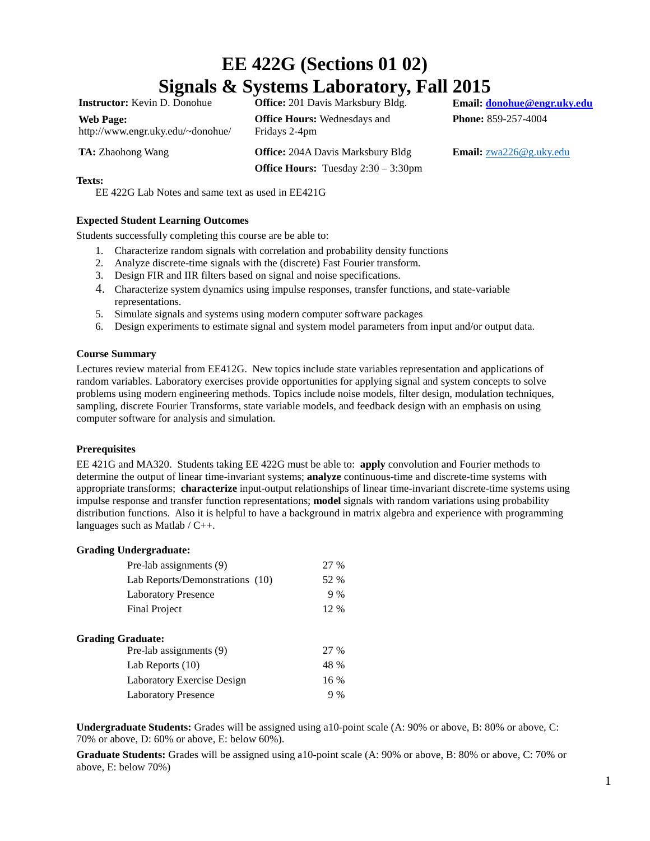# **EE 422G (Sections 01 02) Signals & Systems Laboratory, Fall 2015**

**Web Page:** http://www.engr.uky.edu/~donohue/

**Instructor:** Kevin D. Donohue **Office:** 201 Davis Marksbury Bldg. **Email: [donohue@engr.uky.edu](mailto:donohue@engr.uky.edu) Office Hours:** Wednesdays and Fridays 2-4pm

**Office Hours:** Tuesday 2:30 – 3:30pm

**Phone:** 859-257-4004

**TA:** Zhaohong Wang **Office:** 204A Davis Marksbury Bldg **Email:** <u>[zwa226@g.uky.edu](mailto:zwa226@g.uky.edu)</u>

# **Texts:**

EE 422G Lab Notes and same text as used in EE421G

# **Expected Student Learning Outcomes**

Students successfully completing this course are be able to:

- 1. Characterize random signals with correlation and probability density functions
- 2. Analyze discrete-time signals with the (discrete) Fast Fourier transform.
- 3. Design FIR and IIR filters based on signal and noise specifications.
- 4. Characterize system dynamics using impulse responses, transfer functions, and state-variable representations.
- 5. Simulate signals and systems using modern computer software packages
- 6. Design experiments to estimate signal and system model parameters from input and/or output data.

### **Course Summary**

Lectures review material from EE412G. New topics include state variables representation and applications of random variables. Laboratory exercises provide opportunities for applying signal and system concepts to solve problems using modern engineering methods. Topics include noise models, filter design, modulation techniques, sampling, discrete Fourier Transforms, state variable models, and feedback design with an emphasis on using computer software for analysis and simulation.

### **Prerequisites**

EE 421G and MA320. Students taking EE 422G must be able to: **apply** convolution and Fourier methods to determine the output of linear time-invariant systems; **analyze** continuous-time and discrete-time systems with appropriate transforms; **characterize** input-output relationships of linear time-invariant discrete-time systems using impulse response and transfer function representations; **model** signals with random variations using probability distribution functions. Also it is helpful to have a background in matrix algebra and experience with programming languages such as Matlab / C++.

### **Grading Undergraduate:**

| Pre-lab assignments (9)         | 27 % |
|---------------------------------|------|
| Lab Reports/Demonstrations (10) | 52 % |
| <b>Laboratory Presence</b>      | 9%   |
| <b>Final Project</b>            | 12 % |
| <b>Grading Graduate:</b>        |      |
| Pre-lab assignments (9)         | 27 % |
| Lab Reports $(10)$              | 48 % |
| Laboratory Exercise Design      | 16 % |
| <b>Laboratory Presence</b>      | 9%   |

**Undergraduate Students:** Grades will be assigned using a10-point scale (A: 90% or above, B: 80% or above, C: 70% or above, D: 60% or above, E: below 60%).

**Graduate Students:** Grades will be assigned using a10-point scale (A: 90% or above, B: 80% or above, C: 70% or above, E: below 70%)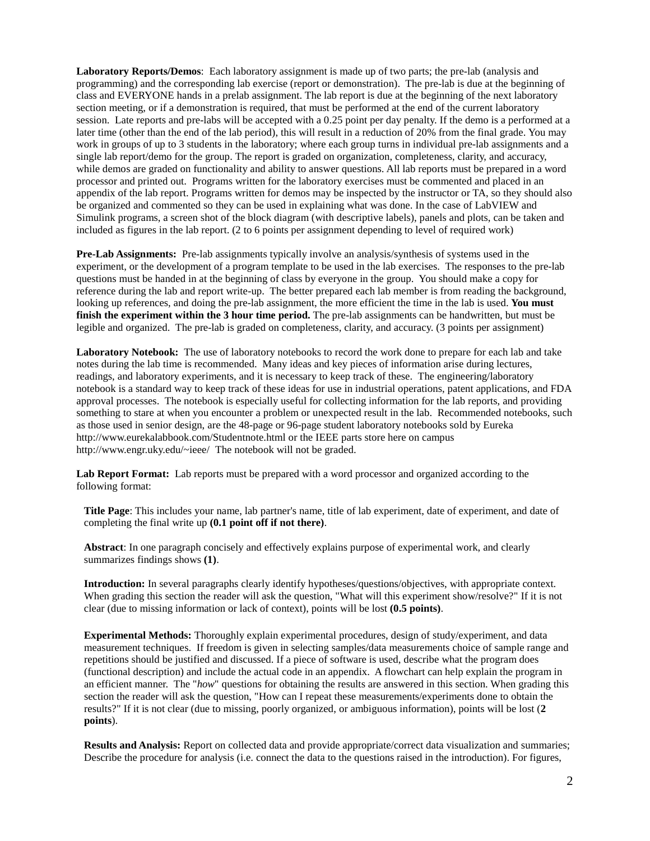**Laboratory Reports/Demos**: Each laboratory assignment is made up of two parts; the pre-lab (analysis and programming) and the corresponding lab exercise (report or demonstration). The pre-lab is due at the beginning of class and EVERYONE hands in a prelab assignment. The lab report is due at the beginning of the next laboratory section meeting, or if a demonstration is required, that must be performed at the end of the current laboratory session. Late reports and pre-labs will be accepted with a 0.25 point per day penalty. If the demo is a performed at a later time (other than the end of the lab period), this will result in a reduction of 20% from the final grade. You may work in groups of up to 3 students in the laboratory; where each group turns in individual pre-lab assignments and a single lab report/demo for the group. The report is graded on organization, completeness, clarity, and accuracy, while demos are graded on functionality and ability to answer questions. All lab reports must be prepared in a word processor and printed out. Programs written for the laboratory exercises must be commented and placed in an appendix of the lab report. Programs written for demos may be inspected by the instructor or TA, so they should also be organized and commented so they can be used in explaining what was done. In the case of LabVIEW and Simulink programs, a screen shot of the block diagram (with descriptive labels), panels and plots, can be taken and included as figures in the lab report. (2 to 6 points per assignment depending to level of required work)

**Pre-Lab Assignments:** Pre-lab assignments typically involve an analysis/synthesis of systems used in the experiment, or the development of a program template to be used in the lab exercises. The responses to the pre-lab questions must be handed in at the beginning of class by everyone in the group. You should make a copy for reference during the lab and report write-up. The better prepared each lab member is from reading the background, looking up references, and doing the pre-lab assignment, the more efficient the time in the lab is used. **You must finish the experiment within the 3 hour time period.** The pre-lab assignments can be handwritten, but must be legible and organized. The pre-lab is graded on completeness, clarity, and accuracy. (3 points per assignment)

**Laboratory Notebook:** The use of laboratory notebooks to record the work done to prepare for each lab and take notes during the lab time is recommended. Many ideas and key pieces of information arise during lectures, readings, and laboratory experiments, and it is necessary to keep track of these. The engineering/laboratory notebook is a standard way to keep track of these ideas for use in industrial operations, patent applications, and FDA approval processes. The notebook is especially useful for collecting information for the lab reports, and providing something to stare at when you encounter a problem or unexpected result in the lab. Recommended notebooks, such as those used in senior design, are the 48-page or 96-page student laboratory notebooks sold by Eureka <http://www.eurekalabbook.com/Studentnote.html> or the IEEE parts store here on campus [http://www.engr.uky.edu/~ieee/](http://www.engr.uky.edu/%7Eieee/) The notebook will not be graded.

**Lab Report Format:** Lab reports must be prepared with a word processor and organized according to the following format:

**Title Page**: This includes your name, lab partner's name, title of lab experiment, date of experiment, and date of completing the final write up **(0.1 point off if not there)**.

**Abstract**: In one paragraph concisely and effectively explains purpose of experimental work, and clearly summarizes findings shows **(1)**.

**Introduction:** In several paragraphs clearly identify hypotheses/questions/objectives, with appropriate context. When grading this section the reader will ask the question, "What will this experiment show/resolve?" If it is not clear (due to missing information or lack of context), points will be lost **(0.5 points)**.

**Experimental Methods:** Thoroughly explain experimental procedures, design of study/experiment, and data measurement techniques. If freedom is given in selecting samples/data measurements choice of sample range and repetitions should be justified and discussed. If a piece of software is used, describe what the program does (functional description) and include the actual code in an appendix. A flowchart can help explain the program in an efficient manner. The "*how*" questions for obtaining the results are answered in this section. When grading this section the reader will ask the question, "How can I repeat these measurements/experiments done to obtain the results?" If it is not clear (due to missing, poorly organized, or ambiguous information), points will be lost (**2 points**).

**Results and Analysis:** Report on collected data and provide appropriate/correct data visualization and summaries; Describe the procedure for analysis (i.e. connect the data to the questions raised in the introduction). For figures,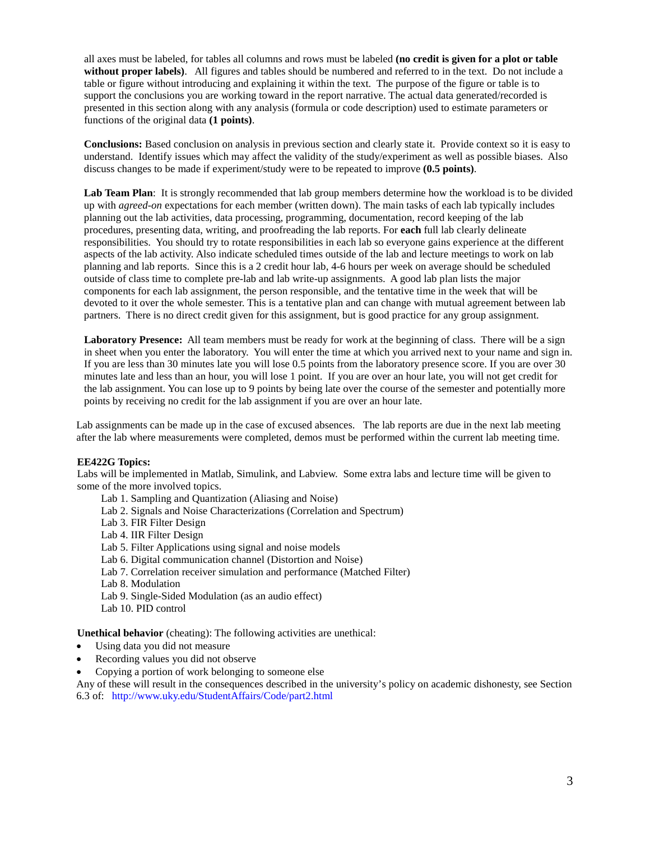all axes must be labeled, for tables all columns and rows must be labeled **(no credit is given for a plot or table without proper labels)**. All figures and tables should be numbered and referred to in the text. Do not include a table or figure without introducing and explaining it within the text. The purpose of the figure or table is to support the conclusions you are working toward in the report narrative. The actual data generated/recorded is presented in this section along with any analysis (formula or code description) used to estimate parameters or functions of the original data **(1 points)**.

**Conclusions:** Based conclusion on analysis in previous section and clearly state it. Provide context so it is easy to understand. Identify issues which may affect the validity of the study/experiment as well as possible biases. Also discuss changes to be made if experiment/study were to be repeated to improve **(0.5 points)**.

**Lab Team Plan**: It is strongly recommended that lab group members determine how the workload is to be divided up with *agreed-on* expectations for each member (written down). The main tasks of each lab typically includes planning out the lab activities, data processing, programming, documentation, record keeping of the lab procedures, presenting data, writing, and proofreading the lab reports. For **each** full lab clearly delineate responsibilities. You should try to rotate responsibilities in each lab so everyone gains experience at the different aspects of the lab activity. Also indicate scheduled times outside of the lab and lecture meetings to work on lab planning and lab reports. Since this is a 2 credit hour lab, 4-6 hours per week on average should be scheduled outside of class time to complete pre-lab and lab write-up assignments. A good lab plan lists the major components for each lab assignment, the person responsible, and the tentative time in the week that will be devoted to it over the whole semester. This is a tentative plan and can change with mutual agreement between lab partners. There is no direct credit given for this assignment, but is good practice for any group assignment.

**Laboratory Presence:** All team members must be ready for work at the beginning of class. There will be a sign in sheet when you enter the laboratory. You will enter the time at which you arrived next to your name and sign in. If you are less than 30 minutes late you will lose 0.5 points from the laboratory presence score. If you are over 30 minutes late and less than an hour, you will lose 1 point. If you are over an hour late, you will not get credit for the lab assignment. You can lose up to 9 points by being late over the course of the semester and potentially more points by receiving no credit for the lab assignment if you are over an hour late.

Lab assignments can be made up in the case of excused absences. The lab reports are due in the next lab meeting after the lab where measurements were completed, demos must be performed within the current lab meeting time.

### **EE422G Topics:**

Labs will be implemented in Matlab, Simulink, and Labview. Some extra labs and lecture time will be given to some of the more involved topics.

- Lab 1. Sampling and Quantization (Aliasing and Noise)
- Lab 2. Signals and Noise Characterizations (Correlation and Spectrum)
- Lab 3. FIR Filter Design
- Lab 4. IIR Filter Design
- Lab 5. Filter Applications using signal and noise models
- Lab 6. Digital communication channel (Distortion and Noise)
- Lab 7. Correlation receiver simulation and performance (Matched Filter)
- Lab 8. Modulation
- Lab 9. Single-Sided Modulation (as an audio effect)
- Lab 10. PID control

**Unethical behavior** (cheating): The following activities are unethical:

- Using data you did not measure
- Recording values you did not observe
- Copying a portion of work belonging to someone else

Any of these will result in the consequences described in the university's policy on academic dishonesty, see Section 6.3 of: http://www.uky.edu/StudentAffairs/Code/part2.html